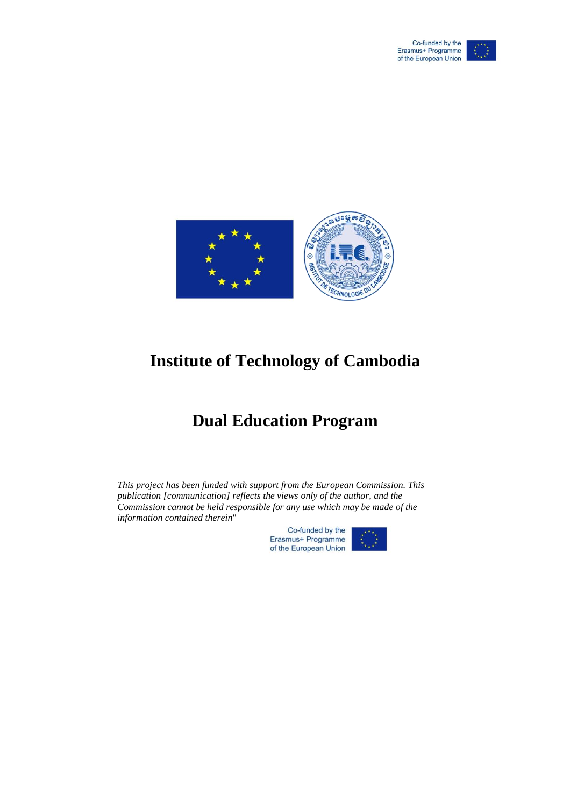



## **Institute of Technology of Cambodia**

## **Dual Education Program**

*This project has been funded with support from the European Commission. This publication [communication] reflects the views only of the author, and the Commission cannot be held responsible for any use which may be made of the information contained therein*"

> Co-funded by the Erasmus+ Programme of the European Union

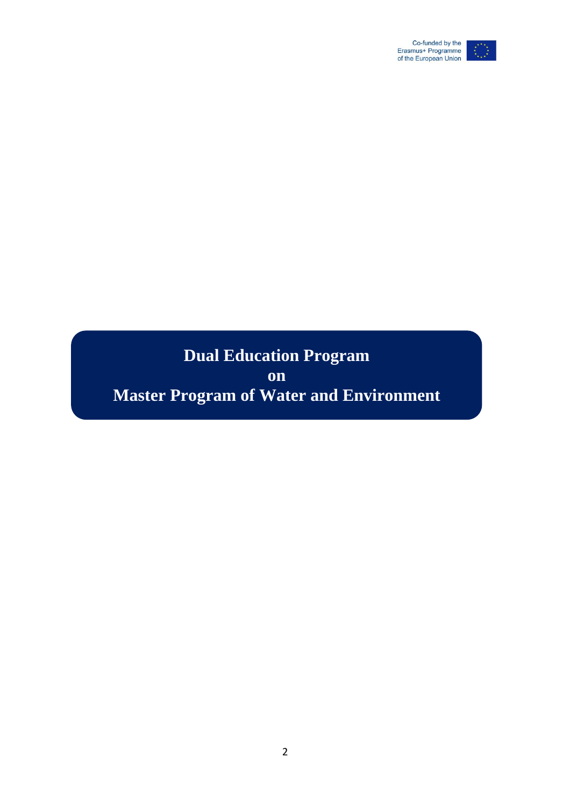

## **Dual Education Program on Master Program of Water and Environment**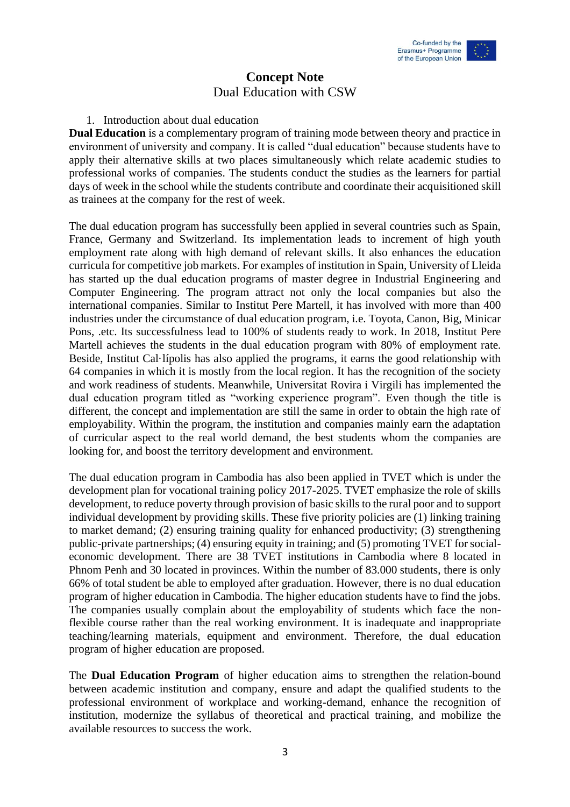

### **Concept Note** Dual Education with CSW

#### 1. Introduction about dual education

**Dual Education** is a complementary program of training mode between theory and practice in environment of university and company. It is called "dual education" because students have to apply their alternative skills at two places simultaneously which relate academic studies to professional works of companies. The students conduct the studies as the learners for partial days of week in the school while the students contribute and coordinate their acquisitioned skill as trainees at the company for the rest of week.

The dual education program has successfully been applied in several countries such as Spain, France, Germany and Switzerland. Its implementation leads to increment of high youth employment rate along with high demand of relevant skills. It also enhances the education curricula for competitive job markets. For examples of institution in Spain, University of Lleida has started up the dual education programs of master degree in Industrial Engineering and Computer Engineering. The program attract not only the local companies but also the international companies. Similar to Institut Pere Martell, it has involved with more than 400 industries under the circumstance of dual education program, i.e. Toyota, Canon, Big, Minicar Pons, .etc. Its successfulness lead to 100% of students ready to work. In 2018, Institut Pere Martell achieves the students in the dual education program with 80% of employment rate. Beside, Institut Cal·lípolis has also applied the programs, it earns the good relationship with 64 companies in which it is mostly from the local region. It has the recognition of the society and work readiness of students. Meanwhile, Universitat Rovira i Virgili has implemented the dual education program titled as "working experience program". Even though the title is different, the concept and implementation are still the same in order to obtain the high rate of employability. Within the program, the institution and companies mainly earn the adaptation of curricular aspect to the real world demand, the best students whom the companies are looking for, and boost the territory development and environment.

The dual education program in Cambodia has also been applied in TVET which is under the development plan for vocational training policy 2017-2025. TVET emphasize the role of skills development, to reduce poverty through provision of basic skills to the rural poor and to support individual development by providing skills. These five priority policies are (1) linking training to market demand; (2) ensuring training quality for enhanced productivity; (3) strengthening public-private partnerships; (4) ensuring equity in training; and (5) promoting TVET for socialeconomic development. There are 38 TVET institutions in Cambodia where 8 located in Phnom Penh and 30 located in provinces. Within the number of 83.000 students, there is only 66% of total student be able to employed after graduation. However, there is no dual education program of higher education in Cambodia. The higher education students have to find the jobs. The companies usually complain about the employability of students which face the nonflexible course rather than the real working environment. It is inadequate and inappropriate teaching/learning materials, equipment and environment. Therefore, the dual education program of higher education are proposed.

The **Dual Education Program** of higher education aims to strengthen the relation-bound between academic institution and company, ensure and adapt the qualified students to the professional environment of workplace and working-demand, enhance the recognition of institution, modernize the syllabus of theoretical and practical training, and mobilize the available resources to success the work.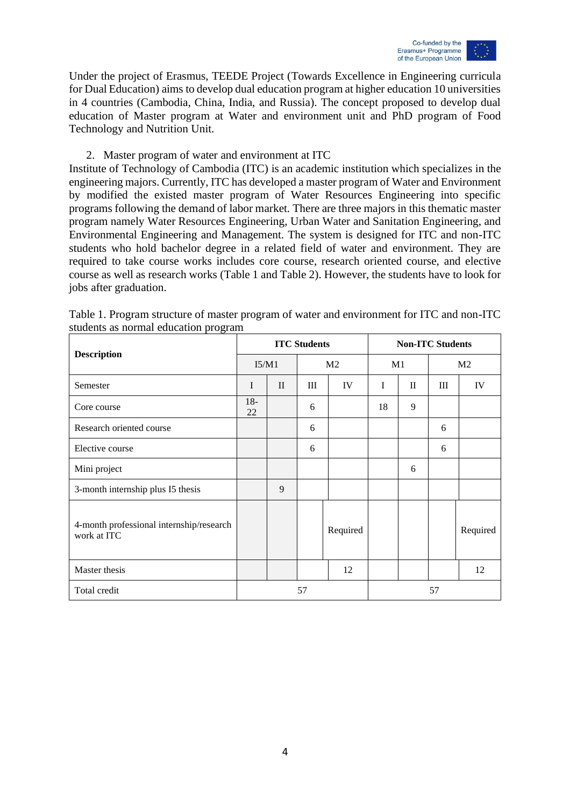

Under the project of Erasmus, TEEDE Project (Towards Excellence in Engineering curricula for Dual Education) aims to develop dual education program at higher education 10 universities in 4 countries (Cambodia, China, India, and Russia). The concept proposed to develop dual education of Master program at Water and environment unit and PhD program of Food Technology and Nutrition Unit.

#### 2. Master program of water and environment at ITC

Institute of Technology of Cambodia (ITC) is an academic institution which specializes in the engineering majors. Currently, ITC has developed a master program of Water and Environment by modified the existed master program of Water Resources Engineering into specific programs following the demand of labor market. There are three majors in this thematic master program namely Water Resources Engineering, Urban Water and Sanitation Engineering, and Environmental Engineering and Management. The system is designed for ITC and non-ITC students who hold bachelor degree in a related field of water and environment. They are required to take course works includes core course, research oriented course, and elective course as well as research works (Table 1 and Table 2). However, the students have to look for jobs after graduation.

|                                                         |             |              | <b>ITC Students</b> |                |             | <b>Non-ITC Students</b> |    |                |
|---------------------------------------------------------|-------------|--------------|---------------------|----------------|-------------|-------------------------|----|----------------|
| <b>Description</b>                                      | I5/M1       |              |                     | M <sub>2</sub> |             | M1                      |    | M <sub>2</sub> |
| Semester                                                | I           | $\mathbf{I}$ | Ш                   | IV             | $\mathbf I$ | $\mathbf{I}$            | Ш  | IV             |
| Core course                                             | $18-$<br>22 |              | 6                   |                | 18          | 9                       |    |                |
| Research oriented course                                |             |              | 6                   |                |             |                         | 6  |                |
| Elective course                                         |             |              | 6                   |                |             |                         | 6  |                |
| Mini project                                            |             |              |                     |                |             | 6                       |    |                |
| 3-month internship plus I5 thesis                       |             | 9            |                     |                |             |                         |    |                |
| 4-month professional internship/research<br>work at ITC |             |              |                     | Required       |             |                         |    | Required       |
| Master thesis                                           |             |              |                     | 12             |             |                         |    | 12             |
| Total credit                                            |             |              | 57                  |                |             |                         | 57 |                |

Table 1. Program structure of master program of water and environment for ITC and non-ITC students as normal education program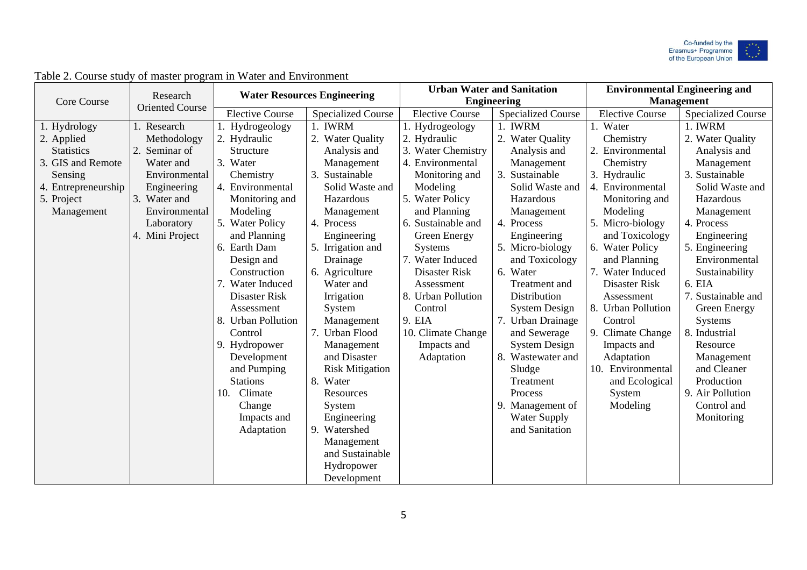

|                     |                                    |                        | <b>Water Resources Engineering</b> |                        | <b>Urban Water and Sanitation</b> |                        | <b>Environmental Engineering and</b> |
|---------------------|------------------------------------|------------------------|------------------------------------|------------------------|-----------------------------------|------------------------|--------------------------------------|
| Core Course         | Research<br><b>Oriented Course</b> |                        |                                    |                        | <b>Engineering</b>                |                        | <b>Management</b>                    |
|                     |                                    | <b>Elective Course</b> | <b>Specialized Course</b>          | <b>Elective Course</b> | <b>Specialized Course</b>         | <b>Elective Course</b> | <b>Specialized Course</b>            |
| 1. Hydrology        | 1. Research                        | Hydrogeology           | 1. IWRM                            | 1. Hydrogeology        | 1. IWRM                           | 1. Water               | 1. IWRM                              |
| 2. Applied          | Methodology                        | 2. Hydraulic           | 2. Water Quality                   | 2. Hydraulic           | <b>Water Quality</b>              | Chemistry              | 2. Water Quality                     |
| <b>Statistics</b>   | Seminar of<br>2.                   | Structure              | Analysis and                       | 3. Water Chemistry     | Analysis and                      | 2. Environmental       | Analysis and                         |
| 3. GIS and Remote   | Water and                          | 3. Water               | Management                         | 4. Environmental       | Management                        | Chemistry              | Management                           |
| Sensing             | Environmental                      | Chemistry              | 3.<br>Sustainable                  | Monitoring and         | Sustainable<br>3.                 | 3. Hydraulic           | 3. Sustainable                       |
| 4. Entrepreneurship | Engineering                        | 4. Environmental       | Solid Waste and                    | Modeling               | Solid Waste and                   | 4. Environmental       | Solid Waste and                      |
| 5. Project          | 3. Water and                       | Monitoring and         | Hazardous                          | 5. Water Policy        | Hazardous                         | Monitoring and         | Hazardous                            |
| Management          | Environmental                      | Modeling               | Management                         | and Planning           | Management                        | Modeling               | Management                           |
|                     | Laboratory                         | 5. Water Policy        | 4. Process                         | 6. Sustainable and     | 4. Process                        | 5. Micro-biology       | 4. Process                           |
|                     | 4. Mini Project                    | and Planning           | Engineering                        | Green Energy           | Engineering                       | and Toxicology         | Engineering                          |
|                     |                                    | 6. Earth Dam           | 5. Irrigation and                  | <b>Systems</b>         | 5. Micro-biology                  | 6. Water Policy        | 5. Engineering                       |
|                     |                                    | Design and             | Drainage                           | 7. Water Induced       | and Toxicology                    | and Planning           | Environmental                        |
|                     |                                    | Construction           | 6. Agriculture                     | Disaster Risk          | 6. Water                          | 7. Water Induced       | Sustainability                       |
|                     |                                    | 7. Water Induced       | Water and                          | Assessment             | Treatment and                     | Disaster Risk          | 6. EIA                               |
|                     |                                    | Disaster Risk          | Irrigation                         | 8. Urban Pollution     | Distribution                      | Assessment             | 7. Sustainable and                   |
|                     |                                    | Assessment             | System                             | Control                | <b>System Design</b>              | 8. Urban Pollution     | Green Energy                         |
|                     |                                    | 8. Urban Pollution     | Management                         | 9. EIA                 | 7. Urban Drainage                 | Control                | <b>Systems</b>                       |
|                     |                                    | Control                | 7. Urban Flood                     | 10. Climate Change     | and Sewerage                      | 9. Climate Change      | 8. Industrial                        |
|                     |                                    | 9. Hydropower          | Management                         | Impacts and            | <b>System Design</b>              | Impacts and            | Resource                             |
|                     |                                    | Development            | and Disaster                       | Adaptation             | 8. Wastewater and                 | Adaptation             | Management                           |
|                     |                                    | and Pumping            | <b>Risk Mitigation</b>             |                        | Sludge                            | 10. Environmental      | and Cleaner                          |
|                     |                                    | <b>Stations</b>        | 8. Water                           |                        | Treatment                         | and Ecological         | Production                           |
|                     |                                    | Climate<br>10.         | Resources                          |                        | Process                           | System                 | 9. Air Pollution                     |
|                     |                                    | Change                 | System                             |                        | 9. Management of                  | Modeling               | Control and                          |
|                     |                                    | Impacts and            | Engineering                        |                        | <b>Water Supply</b>               |                        | Monitoring                           |
|                     |                                    | Adaptation             | 9. Watershed                       |                        | and Sanitation                    |                        |                                      |
|                     |                                    |                        | Management                         |                        |                                   |                        |                                      |
|                     |                                    |                        | and Sustainable                    |                        |                                   |                        |                                      |
|                     |                                    |                        | Hydropower                         |                        |                                   |                        |                                      |
|                     |                                    |                        | Development                        |                        |                                   |                        |                                      |

### Table 2. Course study of master program in Water and Environment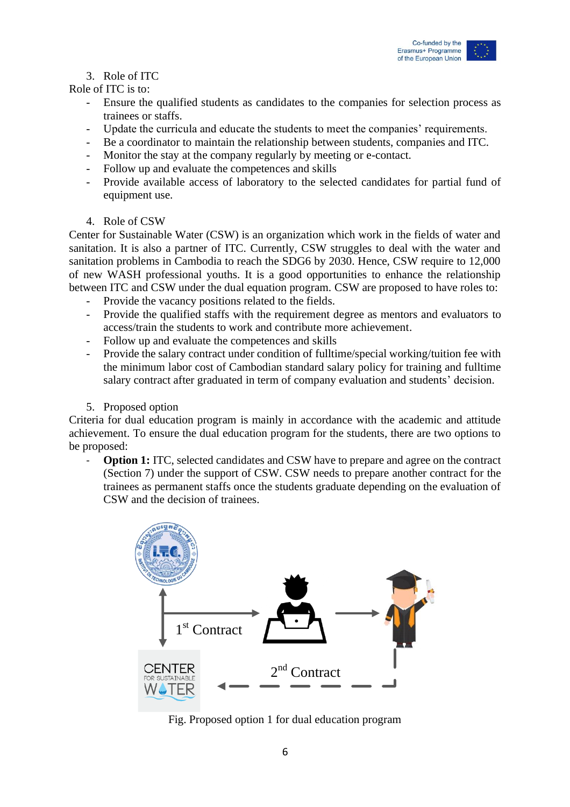

### 3. Role of ITC

Role of ITC is to:

- Ensure the qualified students as candidates to the companies for selection process as trainees or staffs.
- Update the curricula and educate the students to meet the companies' requirements.
- Be a coordinator to maintain the relationship between students, companies and ITC.
- Monitor the stay at the company regularly by meeting or e-contact.
- Follow up and evaluate the competences and skills
- Provide available access of laboratory to the selected candidates for partial fund of equipment use.

#### 4. Role of CSW

Center for Sustainable Water (CSW) is an organization which work in the fields of water and sanitation. It is also a partner of ITC. Currently, CSW struggles to deal with the water and sanitation problems in Cambodia to reach the SDG6 by 2030. Hence, CSW require to 12,000 of new WASH professional youths. It is a good opportunities to enhance the relationship between ITC and CSW under the dual equation program. CSW are proposed to have roles to:

- Provide the vacancy positions related to the fields.
- Provide the qualified staffs with the requirement degree as mentors and evaluators to access/train the students to work and contribute more achievement.
- Follow up and evaluate the competences and skills
- Provide the salary contract under condition of fulltime/special working/tuition fee with the minimum labor cost of Cambodian standard salary policy for training and fulltime salary contract after graduated in term of company evaluation and students' decision.
- 5. Proposed option

Criteria for dual education program is mainly in accordance with the academic and attitude achievement. To ensure the dual education program for the students, there are two options to be proposed:

**Option 1:** ITC, selected candidates and CSW have to prepare and agree on the contract (Section 7) under the support of CSW. CSW needs to prepare another contract for the trainees as permanent staffs once the students graduate depending on the evaluation of CSW and the decision of trainees.



Fig. Proposed option 1 for dual education program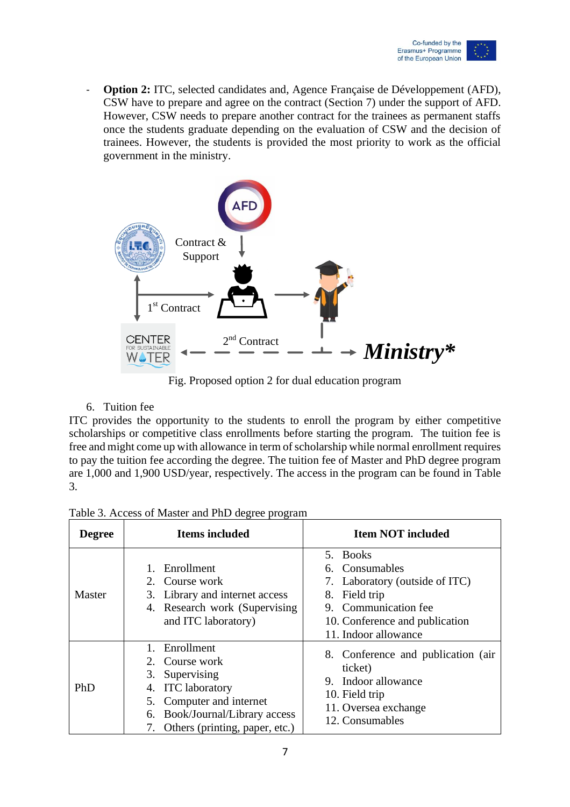

- **Option 2:** ITC, selected candidates and, Agence Française de Développement (AFD), CSW have to prepare and agree on the contract (Section 7) under the support of AFD. However, CSW needs to prepare another contract for the trainees as permanent staffs once the students graduate depending on the evaluation of CSW and the decision of trainees. However, the students is provided the most priority to work as the official government in the ministry.



Fig. Proposed option 2 for dual education program

#### 6. Tuition fee

ITC provides the opportunity to the students to enroll the program by either competitive scholarships or competitive class enrollments before starting the program. The tuition fee is free and might come up with allowance in term of scholarship while normal enrollment requires to pay the tuition fee according the degree. The tuition fee of Master and PhD degree program are 1,000 and 1,900 USD/year, respectively. The access in the program can be found in Table 3.

| <b>Degree</b> | <b>Items included</b>                                                                                                                                                                  | <b>Item NOT included</b>                                                                                                                                              |
|---------------|----------------------------------------------------------------------------------------------------------------------------------------------------------------------------------------|-----------------------------------------------------------------------------------------------------------------------------------------------------------------------|
| Master        | Enrollment<br>2. Course work<br>3. Library and internet access<br>4. Research work (Supervising)<br>and ITC laboratory)                                                                | 5. Books<br>6. Consumables<br>Laboratory (outside of ITC)<br>7.<br>Field trip<br>8.<br>9. Communication fee<br>10. Conference and publication<br>11. Indoor allowance |
| PhD           | Enrollment<br>2. Course work<br>Supervising<br>3.<br><b>ITC</b> laboratory<br>4.<br>5. Computer and internet<br>Book/Journal/Library access<br>6.<br>7. Others (printing, paper, etc.) | 8. Conference and publication (air<br>ticket)<br>9. Indoor allowance<br>10. Field trip<br>11. Oversea exchange<br>12. Consumables                                     |

Table 3. Access of Master and PhD degree program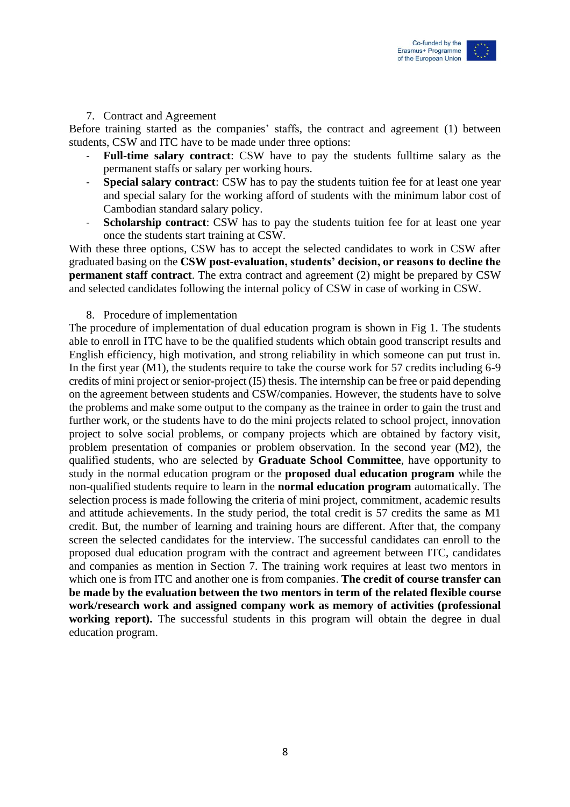

#### 7. Contract and Agreement

Before training started as the companies' staffs, the contract and agreement (1) between students, CSW and ITC have to be made under three options:

- **Full-time salary contract**: CSW have to pay the students fulltime salary as the permanent staffs or salary per working hours.
- **Special salary contract:** CSW has to pay the students tuition fee for at least one year and special salary for the working afford of students with the minimum labor cost of Cambodian standard salary policy.
- **Scholarship contract**: CSW has to pay the students tuition fee for at least one year once the students start training at CSW.

With these three options, CSW has to accept the selected candidates to work in CSW after graduated basing on the **CSW post-evaluation, students' decision, or reasons to decline the permanent staff contract**. The extra contract and agreement (2) might be prepared by CSW and selected candidates following the internal policy of CSW in case of working in CSW.

#### 8. Procedure of implementation

The procedure of implementation of dual education program is shown in Fig 1. The students able to enroll in ITC have to be the qualified students which obtain good transcript results and English efficiency, high motivation, and strong reliability in which someone can put trust in. In the first year (M1), the students require to take the course work for 57 credits including 6-9 credits of mini project or senior-project (I5) thesis. The internship can be free or paid depending on the agreement between students and CSW/companies. However, the students have to solve the problems and make some output to the company as the trainee in order to gain the trust and further work, or the students have to do the mini projects related to school project, innovation project to solve social problems, or company projects which are obtained by factory visit, problem presentation of companies or problem observation. In the second year (M2), the qualified students, who are selected by **Graduate School Committee**, have opportunity to study in the normal education program or the **proposed dual education program** while the non-qualified students require to learn in the **normal education program** automatically. The selection process is made following the criteria of mini project, commitment, academic results and attitude achievements. In the study period, the total credit is 57 credits the same as M1 credit. But, the number of learning and training hours are different. After that, the company screen the selected candidates for the interview. The successful candidates can enroll to the proposed dual education program with the contract and agreement between ITC, candidates and companies as mention in Section 7. The training work requires at least two mentors in which one is from ITC and another one is from companies. **The credit of course transfer can be made by the evaluation between the two mentors in term of the related flexible course work/research work and assigned company work as memory of activities (professional**  working report). The successful students in this program will obtain the degree in dual education program.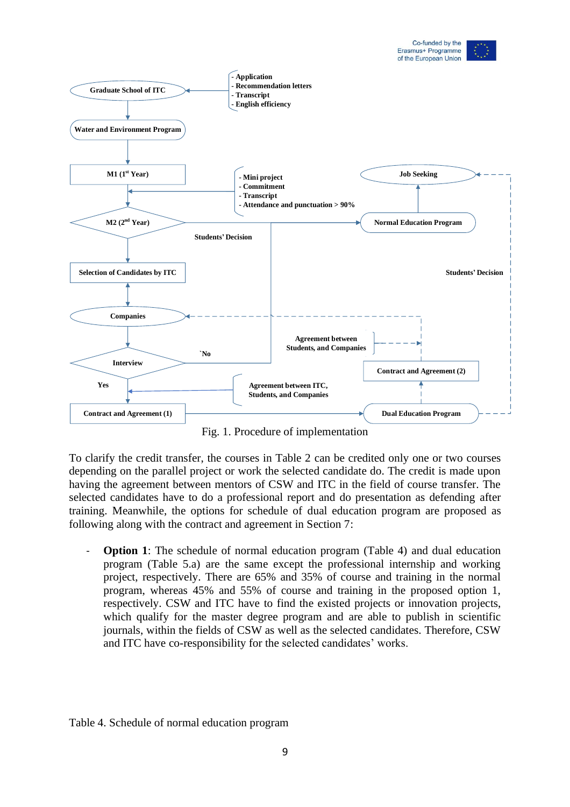



Fig. 1. Procedure of implementation

To clarify the credit transfer, the courses in Table 2 can be credited only one or two courses depending on the parallel project or work the selected candidate do. The credit is made upon having the agreement between mentors of CSW and ITC in the field of course transfer. The selected candidates have to do a professional report and do presentation as defending after training. Meanwhile, the options for schedule of dual education program are proposed as following along with the contract and agreement in Section 7:

- **Option 1**: The schedule of normal education program (Table 4) and dual education program (Table 5.a) are the same except the professional internship and working project, respectively. There are 65% and 35% of course and training in the normal program, whereas 45% and 55% of course and training in the proposed option 1, respectively. CSW and ITC have to find the existed projects or innovation projects, which qualify for the master degree program and are able to publish in scientific journals, within the fields of CSW as well as the selected candidates. Therefore, CSW and ITC have co-responsibility for the selected candidates' works.

Table 4. Schedule of normal education program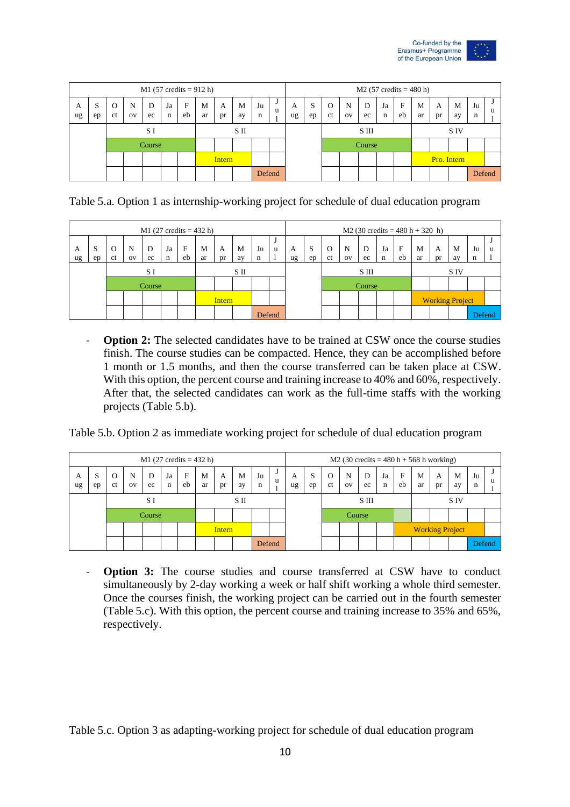

|         | $M1 (57 credits = 912 h)$<br>$\mathbf{F}$<br>D<br>M<br>M<br>Ja<br>N<br>O<br>A<br>C.<br>eb<br>ct<br>ec<br>ar<br>ay<br>$_{\rm OV}$<br>n<br>pr<br>ep<br>SП<br>S I<br>Course |  |  |  |  |  |  |  |  |         |              |         |         |                           |                |         |         |             | $M2 (57 credits = 480 h)$ |         |         |         |   |
|---------|--------------------------------------------------------------------------------------------------------------------------------------------------------------------------|--|--|--|--|--|--|--|--|---------|--------------|---------|---------|---------------------------|----------------|---------|---------|-------------|---------------------------|---------|---------|---------|---|
| A<br>ug |                                                                                                                                                                          |  |  |  |  |  |  |  |  | Ju<br>n | $\cdot$<br>u | A<br>ug | S<br>ep | $\Omega$<br><sub>ct</sub> | N<br><b>OV</b> | D<br>ec | Ja<br>n | F<br>eb     | M<br>ar                   | A<br>pr | M<br>ay | Ju<br>n | u |
|         |                                                                                                                                                                          |  |  |  |  |  |  |  |  |         |              |         |         |                           |                | S III   |         |             |                           |         | S IV    |         |   |
|         |                                                                                                                                                                          |  |  |  |  |  |  |  |  |         |              |         |         |                           |                | Course  |         |             |                           |         |         |         |   |
|         | <b>Intern</b>                                                                                                                                                            |  |  |  |  |  |  |  |  |         |              |         |         |                           |                |         |         | Pro. Intern |                           |         |         |         |   |
|         |                                                                                                                                                                          |  |  |  |  |  |  |  |  | Defend  |              |         |         |                           |                |         |         |             |                           |         |         | Defend  |   |

Table 5.a. Option 1 as internship-working project for schedule of dual education program

|         |             |                           |                          |         |         |                    | $M1$ (27 credits = 432 h) |         |         |         |        |         |          |                |                |         |                   |         | $M2$ (30 credits = 480 h + 320 h) |                        |         |         |   |
|---------|-------------|---------------------------|--------------------------|---------|---------|--------------------|---------------------------|---------|---------|---------|--------|---------|----------|----------------|----------------|---------|-------------------|---------|-----------------------------------|------------------------|---------|---------|---|
| A<br>ug | S<br>ep     | $\Omega$<br><sub>ct</sub> | $\mathbf N$<br><b>OV</b> | D<br>ec | Ja<br>n | $\mathbf{F}$<br>eb | M<br>ar                   | A<br>pr | M<br>av | Ju<br>n | u      | A<br>ug | -S<br>ep | $\Omega$<br>ct | N<br><b>OV</b> | D<br>ec | Ja<br>$\mathbf n$ | F<br>eb | M<br>ar                           | A<br>Dr                | M<br>av | Ju<br>n | u |
|         | S II<br>S I |                           |                          |         |         |                    |                           |         |         |         |        |         |          |                |                | S III   |                   |         |                                   |                        | S IV    |         |   |
|         | Course      |                           |                          |         |         |                    |                           |         |         |         |        |         |          |                | Course         |         |                   |         |                                   |                        |         |         |   |
|         | Intern      |                           |                          |         |         |                    |                           |         |         |         |        |         |          |                |                |         |                   |         |                                   | <b>Working Project</b> |         |         |   |
|         |             |                           |                          |         |         |                    |                           |         |         |         | Defend |         |          |                |                |         |                   |         |                                   |                        |         | Defend  |   |

- **Option 2:** The selected candidates have to be trained at CSW once the course studies finish. The course studies can be compacted. Hence, they can be accomplished before 1 month or 1.5 months, and then the course transferred can be taken place at CSW. With this option, the percent course and training increase to 40% and 60%, respectively. After that, the selected candidates can work as the full-time staffs with the working projects (Table 5.b).

Table 5.b. Option 2 as immediate working project for schedule of dual education program

|         |          |         |                |         |                   |         | $M1$ (27 credits = 432 h) |         |         |         |   |         |         |                            | M2 (30 credits = $480 h + 568 h$ working) |         |         |         |         |                        |         |         |   |
|---------|----------|---------|----------------|---------|-------------------|---------|---------------------------|---------|---------|---------|---|---------|---------|----------------------------|-------------------------------------------|---------|---------|---------|---------|------------------------|---------|---------|---|
| A<br>ug | э.<br>ep | O<br>ct | N<br><b>OV</b> | D<br>ec | Ja<br>$\mathbf n$ | F<br>eb | M<br>ar                   | A<br>pr | M<br>ay | Ju<br>n | u | A<br>ug | S<br>ep | $\Omega$<br><sub>c</sub> t | N<br>O <sub>V</sub>                       | D<br>ec | Ja<br>n | F<br>eb | M<br>ar | A<br>pr                | M<br>ay | Ju<br>n | u |
|         |          |         |                | S I     |                   |         |                           | SП      |         |         |   |         |         |                            |                                           | S III   |         |         |         |                        | S IV    |         |   |
|         |          |         |                | Course  |                   |         |                           |         |         |         |   |         |         |                            | Course                                    |         |         |         |         |                        |         |         |   |
|         |          |         |                |         |                   |         |                           | Intern  |         |         |   |         |         |                            |                                           |         |         |         |         | <b>Working Project</b> |         |         |   |
|         |          |         |                |         |                   |         |                           |         |         | Defend  |   |         |         |                            |                                           |         |         |         |         |                        |         | Defend  |   |

- **Option 3:** The course studies and course transferred at CSW have to conduct simultaneously by 2-day working a week or half shift working a whole third semester. Once the courses finish, the working project can be carried out in the fourth semester (Table 5.c). With this option, the percent course and training increase to 35% and 65%, respectively.

Table 5.c. Option 3 as adapting-working project for schedule of dual education program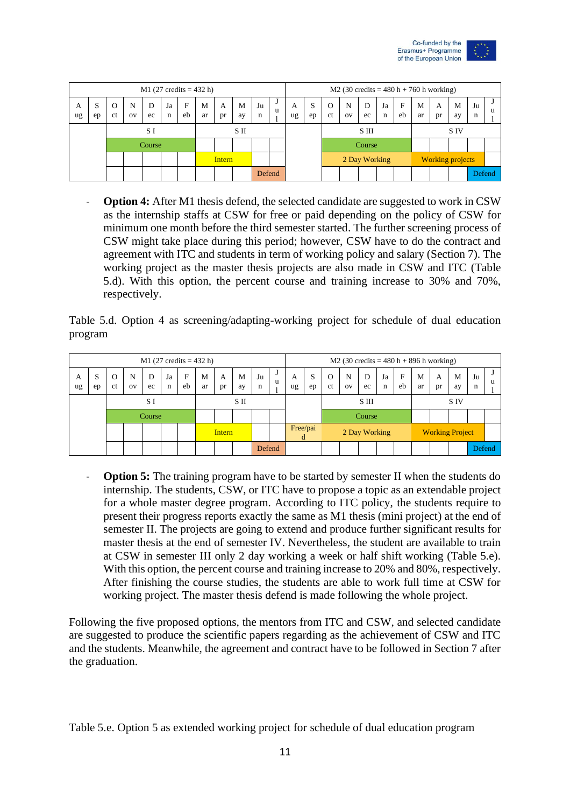

|         | $M1$ (27 credits = 432 h)<br>F<br>D<br>M<br>M<br>c<br>N<br>Ja<br>O<br>A<br>eb<br>ct<br>ec<br>ar<br>pr<br>ay<br>OV<br>n<br>ep<br>SП<br>S I<br>Course |  |  |  |  |  |  |  |  |         |         |         |         |                            | M2 (30 credits = $480 h + 760 h$ working) |         |         |         |                         |         |         |         |   |
|---------|-----------------------------------------------------------------------------------------------------------------------------------------------------|--|--|--|--|--|--|--|--|---------|---------|---------|---------|----------------------------|-------------------------------------------|---------|---------|---------|-------------------------|---------|---------|---------|---|
| A<br>ug |                                                                                                                                                     |  |  |  |  |  |  |  |  | Ju<br>n | л.<br>u | A<br>ug | S<br>ep | $\Omega$<br><sub>c</sub> t | N<br><b>OV</b>                            | D<br>ec | Ja<br>n | F<br>eb | M<br>ar                 | A<br>Dr | M<br>ay | Ju<br>n | u |
|         |                                                                                                                                                     |  |  |  |  |  |  |  |  |         |         |         |         |                            |                                           | S III   |         |         |                         |         | S IV    |         |   |
|         |                                                                                                                                                     |  |  |  |  |  |  |  |  |         |         |         |         |                            |                                           | Course  |         |         |                         |         |         |         |   |
|         | <b>Intern</b>                                                                                                                                       |  |  |  |  |  |  |  |  |         |         |         |         | 2 Day Working              |                                           |         |         |         | <b>Working projects</b> |         |         |         |   |
|         |                                                                                                                                                     |  |  |  |  |  |  |  |  | Defend  |         |         |         |                            |                                           |         |         |         |                         |         |         | Defend  |   |

Option 4: After M1 thesis defend, the selected candidate are suggested to work in CSW as the internship staffs at CSW for free or paid depending on the policy of CSW for minimum one month before the third semester started. The further screening process of CSW might take place during this period; however, CSW have to do the contract and agreement with ITC and students in term of working policy and salary (Section 7). The working project as the master thesis projects are also made in CSW and ITC (Table 5.d). With this option, the percent course and training increase to 30% and 70%, respectively.

Table 5.d. Option 4 as screening/adapting-working project for schedule of dual education program

|         |         |                    |         |         |         |                    | $M1$ (27 credits = 432 h) |         |         |         |        |         |               |                           | $M2$ (30 credits = 480 h + 896 h working) |               |         |         |         |         |                        |         |   |
|---------|---------|--------------------|---------|---------|---------|--------------------|---------------------------|---------|---------|---------|--------|---------|---------------|---------------------------|-------------------------------------------|---------------|---------|---------|---------|---------|------------------------|---------|---|
| A<br>ug | S<br>ep | O<br><sub>ct</sub> | N<br>OV | D<br>ec | Ja<br>n | $\mathbf{F}$<br>eb | M<br>ar                   | A<br>pr | M<br>ay | Ju<br>n | J<br>u | A<br>ug | S<br>ep       | $\Omega$<br><sub>ct</sub> | N<br>O <sub>V</sub>                       | D<br>ec       | Ja<br>n | F<br>eb | M<br>ar | A<br>pr | M<br>ay                | Ju<br>n | u |
|         |         |                    |         | S I     |         |                    |                           |         | SП      |         |        |         |               |                           |                                           | S III         |         |         |         |         | S IV                   |         |   |
|         |         |                    |         | Course  |         |                    |                           |         |         |         |        |         |               |                           |                                           | Course        |         |         |         |         |                        |         |   |
|         |         |                    |         |         |         |                    |                           | Intern  |         |         |        |         | Free/pai<br>đ |                           |                                           | 2 Day Working |         |         |         |         | <b>Working Project</b> |         |   |
|         |         |                    |         |         |         |                    |                           |         |         | Defend  |        |         |               |                           |                                           |               |         |         |         |         |                        | Defend  |   |

**Option 5:** The training program have to be started by semester II when the students do internship. The students, CSW, or ITC have to propose a topic as an extendable project for a whole master degree program. According to ITC policy, the students require to present their progress reports exactly the same as M1 thesis (mini project) at the end of semester II. The projects are going to extend and produce further significant results for master thesis at the end of semester IV. Nevertheless, the student are available to train at CSW in semester III only 2 day working a week or half shift working (Table 5.e). With this option, the percent course and training increase to 20% and 80%, respectively. After finishing the course studies, the students are able to work full time at CSW for working project. The master thesis defend is made following the whole project.

Following the five proposed options, the mentors from ITC and CSW, and selected candidate are suggested to produce the scientific papers regarding as the achievement of CSW and ITC and the students. Meanwhile, the agreement and contract have to be followed in Section 7 after the graduation.

Table 5.e. Option 5 as extended working project for schedule of dual education program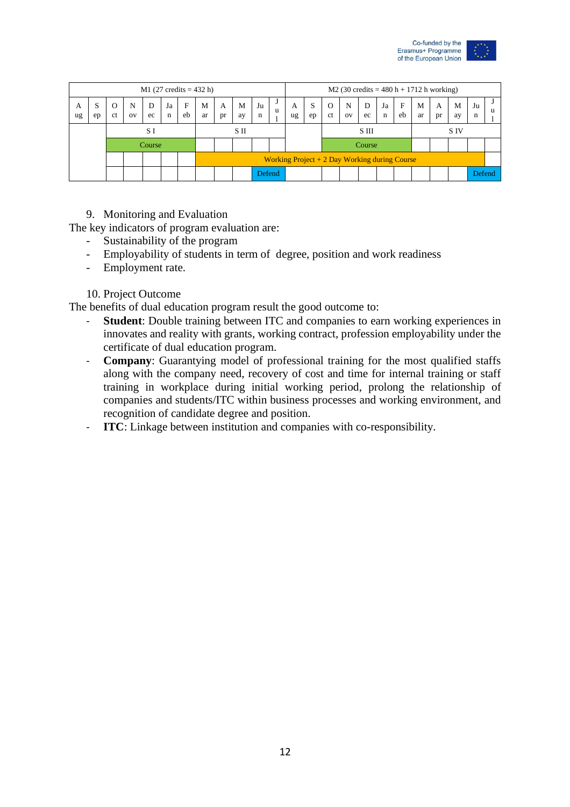

|         |              |         |                  |         |         |                    | $M1 (27 credits = 432 h)$ |         |         |         |        |         |         |                           | $M2$ (30 credits = 480 h + 1712 h working)      |               |         |         |         |         |         |         |   |
|---------|--------------|---------|------------------|---------|---------|--------------------|---------------------------|---------|---------|---------|--------|---------|---------|---------------------------|-------------------------------------------------|---------------|---------|---------|---------|---------|---------|---------|---|
| A<br>ug | c<br>د<br>ep | O<br>ct | N<br>$_{\rm OV}$ | D<br>ec | Ja<br>n | $\mathbf{F}$<br>eb | M<br>ar                   | A<br>pr | M<br>ay | Ju<br>n | u      | A<br>ug | S<br>ep | $\Omega$<br><sub>ct</sub> | N<br><b>OV</b>                                  | D<br>ec       | Ja<br>n | F<br>eb | M<br>ar | A<br>pr | M<br>av | Ju<br>n | u |
|         |              |         |                  | S I     |         |                    |                           |         | SП      |         |        |         |         |                           |                                                 | S III         |         |         |         |         | S IV    |         |   |
|         |              |         |                  | Course  |         |                    |                           |         |         |         |        |         |         |                           |                                                 | <b>Course</b> |         |         |         |         |         |         |   |
|         |              |         |                  |         |         |                    |                           |         |         |         |        |         |         |                           | Working Project $+ 2$ Day Working during Course |               |         |         |         |         |         |         |   |
|         |              |         |                  |         |         |                    |                           |         |         |         | Defend |         |         |                           |                                                 |               |         |         |         |         |         | Defend  |   |

#### 9. Monitoring and Evaluation

The key indicators of program evaluation are:

- Sustainability of the program
- Employability of students in term of degree, position and work readiness
- Employment rate.

#### 10. Project Outcome

The benefits of dual education program result the good outcome to:

- **Student**: Double training between ITC and companies to earn working experiences in innovates and reality with grants, working contract, profession employability under the certificate of dual education program.
- **Company**: Guarantying model of professional training for the most qualified staffs along with the company need, recovery of cost and time for internal training or staff training in workplace during initial working period, prolong the relationship of companies and students/ITC within business processes and working environment, and recognition of candidate degree and position.
- **ITC**: Linkage between institution and companies with co-responsibility.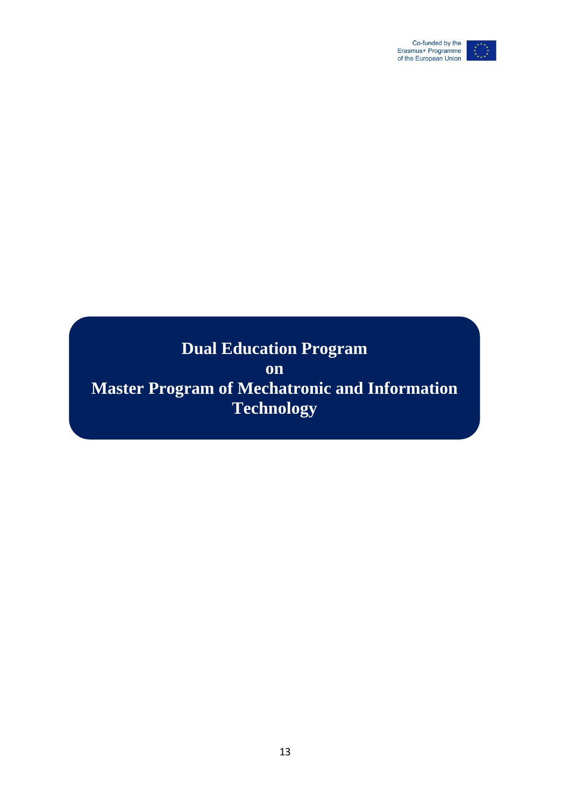

# **Dual Education Program**

**on**

**Master Program of Mechatronic and Information Technology**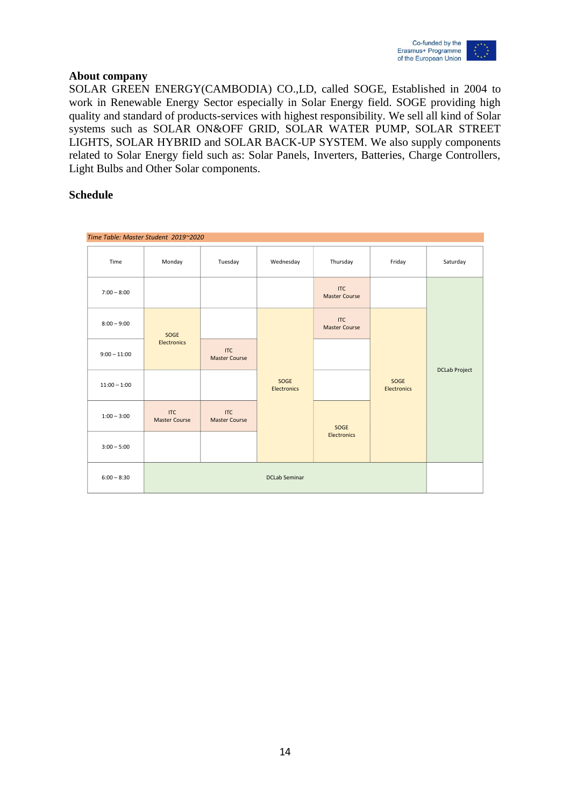

#### **About company**

SOLAR GREEN ENERGY(CAMBODIA) CO.,LD, called SOGE, Established in 2004 to work in Renewable Energy Sector especially in Solar Energy field. SOGE providing high quality and standard of products-services with highest responsibility. We sell all kind of Solar systems such as SOLAR ON&OFF GRID, SOLAR WATER PUMP, SOLAR STREET LIGHTS, SOLAR HYBRID and SOLAR BACK-UP SYSTEM. We also supply components related to Solar Energy field such as: Solar Panels, Inverters, Batteries, Charge Controllers, Light Bulbs and Other Solar components.

#### **Schedule**

| Time Table: Master Student 2019~2020 |                                    |                                    |                      |                                    |                     |                      |
|--------------------------------------|------------------------------------|------------------------------------|----------------------|------------------------------------|---------------------|----------------------|
| Time                                 | Monday                             | Tuesday                            | Wednesday            | Thursday                           | Friday              | Saturday             |
| $7:00 - 8:00$                        |                                    |                                    |                      | <b>ITC</b><br><b>Master Course</b> |                     |                      |
| $8:00 - 9:00$                        | SOGE                               |                                    |                      | <b>ITC</b><br><b>Master Course</b> |                     |                      |
| $9:00 - 11:00$                       | Electronics                        | <b>ITC</b><br><b>Master Course</b> |                      |                                    |                     | <b>DCLab Project</b> |
| $11:00 - 1:00$                       |                                    |                                    | SOGE<br>Electronics  |                                    | SOGE<br>Electronics |                      |
| $1:00 - 3:00$                        | <b>ITC</b><br><b>Master Course</b> | <b>ITC</b><br><b>Master Course</b> |                      | SOGE                               |                     |                      |
| $3:00 - 5:00$                        |                                    |                                    |                      | <b>Electronics</b>                 |                     |                      |
| $6:00 - 8:30$                        |                                    |                                    | <b>DCLab Seminar</b> |                                    |                     |                      |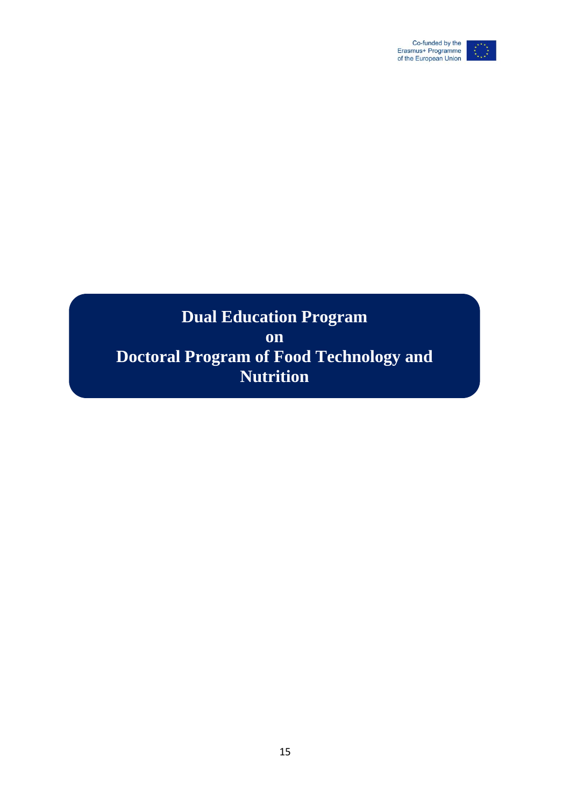

### **Dual Education Program on Doctoral Program of Food Technology and Nutrition**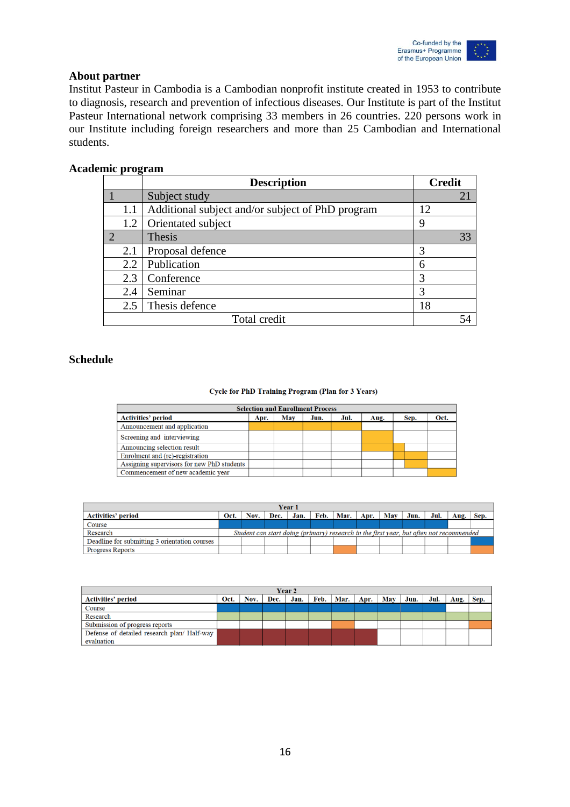

#### **About partner**

Institut Pasteur in Cambodia is a Cambodian nonprofit institute created in 1953 to contribute to diagnosis, research and prevention of infectious diseases. Our Institute is part of the Institut Pasteur International network comprising 33 members in 26 countries. 220 persons work in our Institute including foreign researchers and more than 25 Cambodian and International students.

#### **Academic program**

|     | <b>Description</b>                               | <b>Credit</b> |
|-----|--------------------------------------------------|---------------|
|     | Subject study                                    | 21            |
| 1.1 | Additional subject and/or subject of PhD program | 12            |
| 1.2 | Orientated subject                               | 9             |
|     | Thesis                                           | 33            |
| 2.1 | Proposal defence                                 | 3             |
| 2.2 | Publication                                      | 6             |
| 2.3 | Conference                                       | 3             |
| 2.4 | Seminar                                          | 3             |
| 2.5 | Thesis defence                                   | 18            |
|     | Total credit                                     |               |

#### **Schedule**

#### Cycle for PhD Training Program (Plan for 3 Years)

|                                            |      |     | <b>Selection and Enrollment Process</b> |      |      |      |      |
|--------------------------------------------|------|-----|-----------------------------------------|------|------|------|------|
| <b>Activities' period</b>                  | Apr. | May | Jun.                                    | Jul. | Aug. | Sep. | Oct. |
| Announcement and application               |      |     |                                         |      |      |      |      |
| Screening and interviewing                 |      |     |                                         |      |      |      |      |
| Announcing selection result                |      |     |                                         |      |      |      |      |
| Enrolment and (re)-registration            |      |     |                                         |      |      |      |      |
| Assigning supervisors for new PhD students |      |     |                                         |      |      |      |      |
| Commencement of new academic year          |      |     |                                         |      |      |      |      |

| Year 1                                        |                                                                                         |      |  |             |  |                    |  |     |      |      |      |      |
|-----------------------------------------------|-----------------------------------------------------------------------------------------|------|--|-------------|--|--------------------|--|-----|------|------|------|------|
| <b>Activities' period</b>                     | Oct.                                                                                    | Nov. |  | Dec.   Jan. |  | Feb.   Mar.   Apr. |  | Mav | Jun. | Jul. | Aug. | Sep. |
| Course                                        |                                                                                         |      |  |             |  |                    |  |     |      |      |      |      |
| Research                                      | Student can start doing (primary) research in the first year, but often not recommended |      |  |             |  |                    |  |     |      |      |      |      |
| Deadline for submitting 3 orientation courses |                                                                                         |      |  |             |  |                    |  |     |      |      |      |      |
| <b>Progress Reports</b>                       |                                                                                         |      |  |             |  |                    |  |     |      |      |      |      |

| Year 2                                      |      |      |      |      |      |      |      |     |      |      |      |      |
|---------------------------------------------|------|------|------|------|------|------|------|-----|------|------|------|------|
| <b>Activities' period</b>                   | Oct. | Nov. | Dec. | Jan. | Feb. | Mar. | Apr. | May | Jun. | Jul. | Aug. | Sep. |
| Course                                      |      |      |      |      |      |      |      |     |      |      |      |      |
| Research                                    |      |      |      |      |      |      |      |     |      |      |      |      |
| Submission of progress reports              |      |      |      |      |      |      |      |     |      |      |      |      |
| Defense of detailed research plan/ Half-way |      |      |      |      |      |      |      |     |      |      |      |      |
| evaluation                                  |      |      |      |      |      |      |      |     |      |      |      |      |